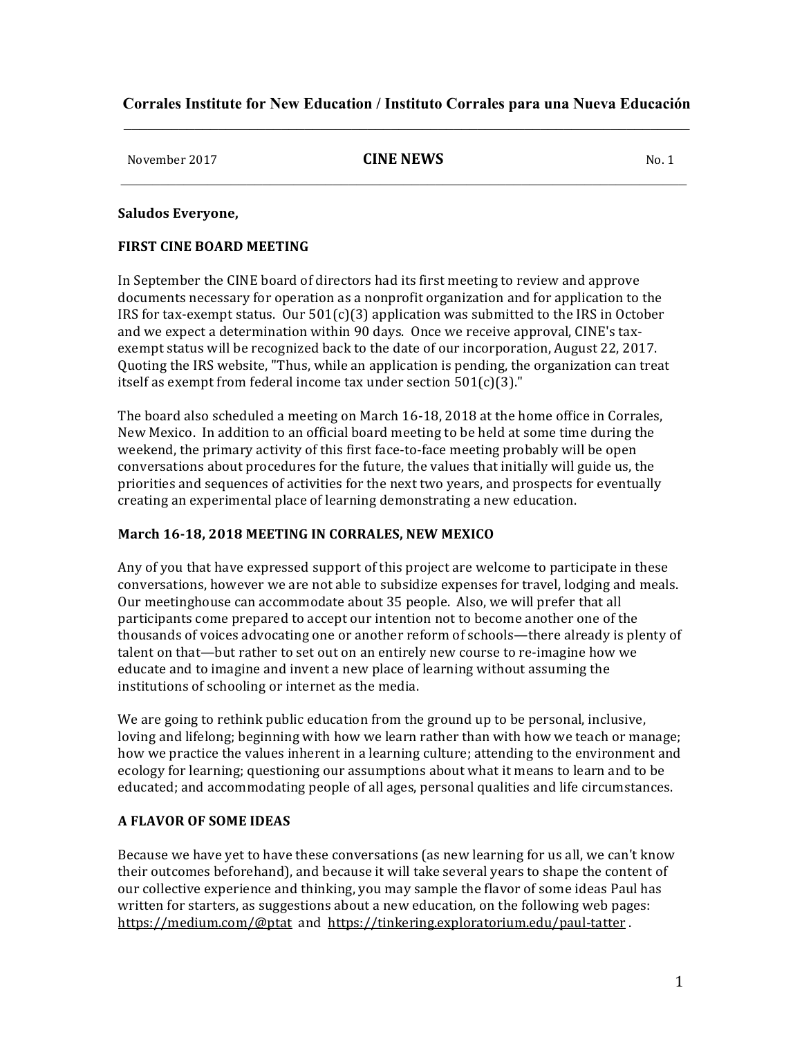# **Corrales Institute for New Education / Instituto Corrales para una Nueva Educación**  $\mathcal{L}_\mathcal{L} = \{ \mathcal{L}_\mathcal{L} = \{ \mathcal{L}_\mathcal{L} = \{ \mathcal{L}_\mathcal{L} = \{ \mathcal{L}_\mathcal{L} = \{ \mathcal{L}_\mathcal{L} = \{ \mathcal{L}_\mathcal{L} = \{ \mathcal{L}_\mathcal{L} = \{ \mathcal{L}_\mathcal{L} = \{ \mathcal{L}_\mathcal{L} = \{ \mathcal{L}_\mathcal{L} = \{ \mathcal{L}_\mathcal{L} = \{ \mathcal{L}_\mathcal{L} = \{ \mathcal{L}_\mathcal{L} = \{ \mathcal{L}_\mathcal{$

# November 2017 **CINE NEWS** No. 1  $\mathcal{L}_\mathcal{L} = \{ \mathcal{L}_\mathcal{L} = \{ \mathcal{L}_\mathcal{L} = \{ \mathcal{L}_\mathcal{L} = \{ \mathcal{L}_\mathcal{L} = \{ \mathcal{L}_\mathcal{L} = \{ \mathcal{L}_\mathcal{L} = \{ \mathcal{L}_\mathcal{L} = \{ \mathcal{L}_\mathcal{L} = \{ \mathcal{L}_\mathcal{L} = \{ \mathcal{L}_\mathcal{L} = \{ \mathcal{L}_\mathcal{L} = \{ \mathcal{L}_\mathcal{L} = \{ \mathcal{L}_\mathcal{L} = \{ \mathcal{L}_\mathcal{$

## **Saludos Everyone,**

## **FIRST CINE BOARD MEETING**

In September the CINE board of directors had its first meeting to review and approve documents necessary for operation as a nonprofit organization and for application to the IRS for tax-exempt status. Our  $501(c)(3)$  application was submitted to the IRS in October and we expect a determination within 90 days. Once we receive approval, CINE's taxexempt status will be recognized back to the date of our incorporation, August 22, 2017. Quoting the IRS website, "Thus, while an application is pending, the organization can treat itself as exempt from federal income tax under section  $501(c)(3)$ ."

The board also scheduled a meeting on March 16-18, 2018 at the home office in Corrales, New Mexico. In addition to an official board meeting to be held at some time during the weekend, the primary activity of this first face-to-face meeting probably will be open conversations about procedures for the future, the values that initially will guide us, the priorities and sequences of activities for the next two years, and prospects for eventually creating an experimental place of learning demonstrating a new education.

## March 16-18, 2018 MEETING IN CORRALES, NEW MEXICO

Any of you that have expressed support of this project are welcome to participate in these conversations, however we are not able to subsidize expenses for travel, lodging and meals. Our meetinghouse can accommodate about 35 people. Also, we will prefer that all participants come prepared to accept our intention not to become another one of the thousands of voices advocating one or another reform of schools—there already is plenty of talent on that—but rather to set out on an entirely new course to re-imagine how we educate and to imagine and invent a new place of learning without assuming the institutions of schooling or internet as the media.

We are going to rethink public education from the ground up to be personal, inclusive, loving and lifelong; beginning with how we learn rather than with how we teach or manage; how we practice the values inherent in a learning culture; attending to the environment and ecology for learning; questioning our assumptions about what it means to learn and to be educated; and accommodating people of all ages, personal qualities and life circumstances.

# **A FLAVOR OF SOME IDEAS**

Because we have yet to have these conversations (as new learning for us all, we can't know their outcomes beforehand), and because it will take several years to shape the content of our collective experience and thinking, you may sample the flavor of some ideas Paul has written for starters, as suggestions about a new education, on the following web pages: https://medium.com/@ptat and https://tinkering.exploratorium.edu/paul-tatter.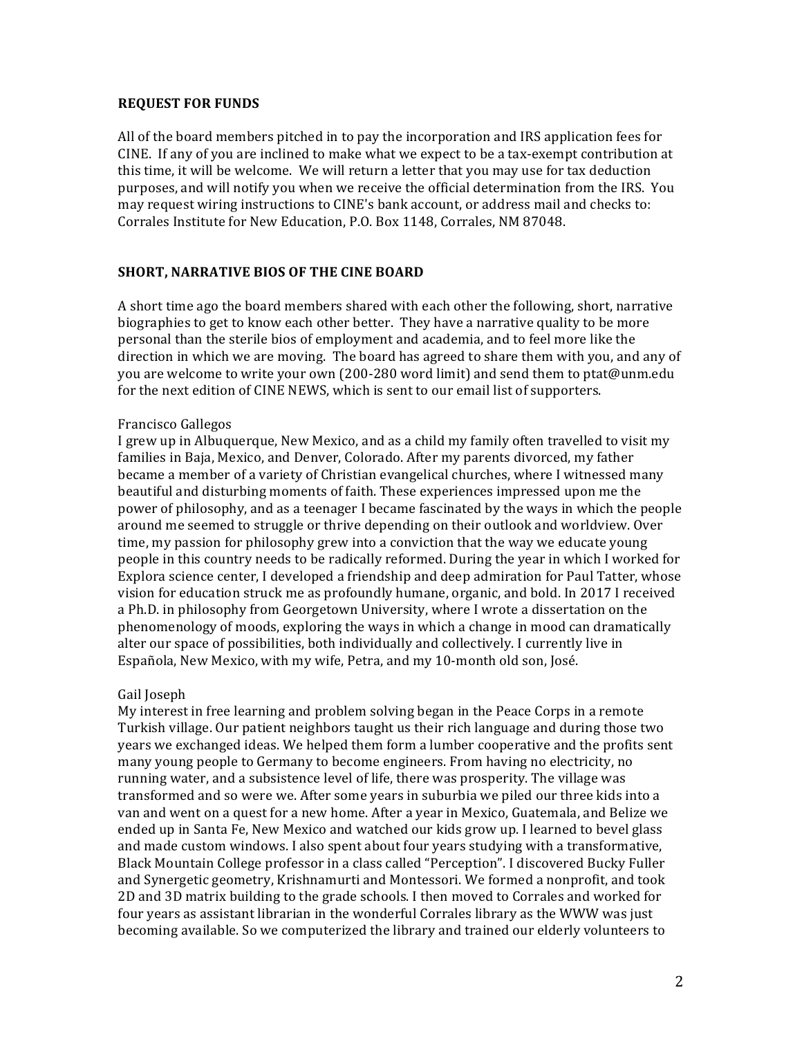## **REQUEST FOR FUNDS**

All of the board members pitched in to pay the incorporation and IRS application fees for CINE. If any of you are inclined to make what we expect to be a tax-exempt contribution at this time, it will be welcome. We will return a letter that you may use for tax deduction purposes, and will notify you when we receive the official determination from the IRS. You may request wiring instructions to CINE's bank account, or address mail and checks to: Corrales Institute for New Education, P.O. Box 1148, Corrales, NM 87048.

# **SHORT, NARRATIVE BIOS OF THE CINE BOARD**

A short time ago the board members shared with each other the following, short, narrative biographies to get to know each other better. They have a narrative quality to be more personal than the sterile bios of employment and academia, and to feel more like the direction in which we are moving. The board has agreed to share them with you, and any of you are welcome to write your own (200-280 word limit) and send them to ptat@unm.edu for the next edition of CINE NEWS, which is sent to our email list of supporters.

## Francisco Gallegos

I grew up in Albuquerque, New Mexico, and as a child my family often travelled to visit my families in Baja, Mexico, and Denver, Colorado. After my parents divorced, my father became a member of a variety of Christian evangelical churches, where I witnessed many beautiful and disturbing moments of faith. These experiences impressed upon me the power of philosophy, and as a teenager I became fascinated by the ways in which the people around me seemed to struggle or thrive depending on their outlook and worldview. Over time, my passion for philosophy grew into a conviction that the way we educate young people in this country needs to be radically reformed. During the year in which I worked for Explora science center, I developed a friendship and deep admiration for Paul Tatter, whose vision for education struck me as profoundly humane, organic, and bold. In 2017 I received a Ph.D. in philosophy from Georgetown University, where I wrote a dissertation on the phenomenology of moods, exploring the ways in which a change in mood can dramatically alter our space of possibilities, both individually and collectively. I currently live in Española, New Mexico, with my wife, Petra, and my 10-month old son, José.

## Gail Ioseph

My interest in free learning and problem solving began in the Peace Corps in a remote Turkish village. Our patient neighbors taught us their rich language and during those two years we exchanged ideas. We helped them form a lumber cooperative and the profits sent many young people to Germany to become engineers. From having no electricity, no running water, and a subsistence level of life, there was prosperity. The village was transformed and so were we. After some years in suburbia we piled our three kids into a van and went on a quest for a new home. After a year in Mexico, Guatemala, and Belize we ended up in Santa Fe, New Mexico and watched our kids grow up. I learned to bevel glass and made custom windows. I also spent about four years studying with a transformative, Black Mountain College professor in a class called "Perception". I discovered Bucky Fuller and Synergetic geometry, Krishnamurti and Montessori. We formed a nonprofit, and took 2D and 3D matrix building to the grade schools. I then moved to Corrales and worked for four years as assistant librarian in the wonderful Corrales library as the WWW was just becoming available. So we computerized the library and trained our elderly volunteers to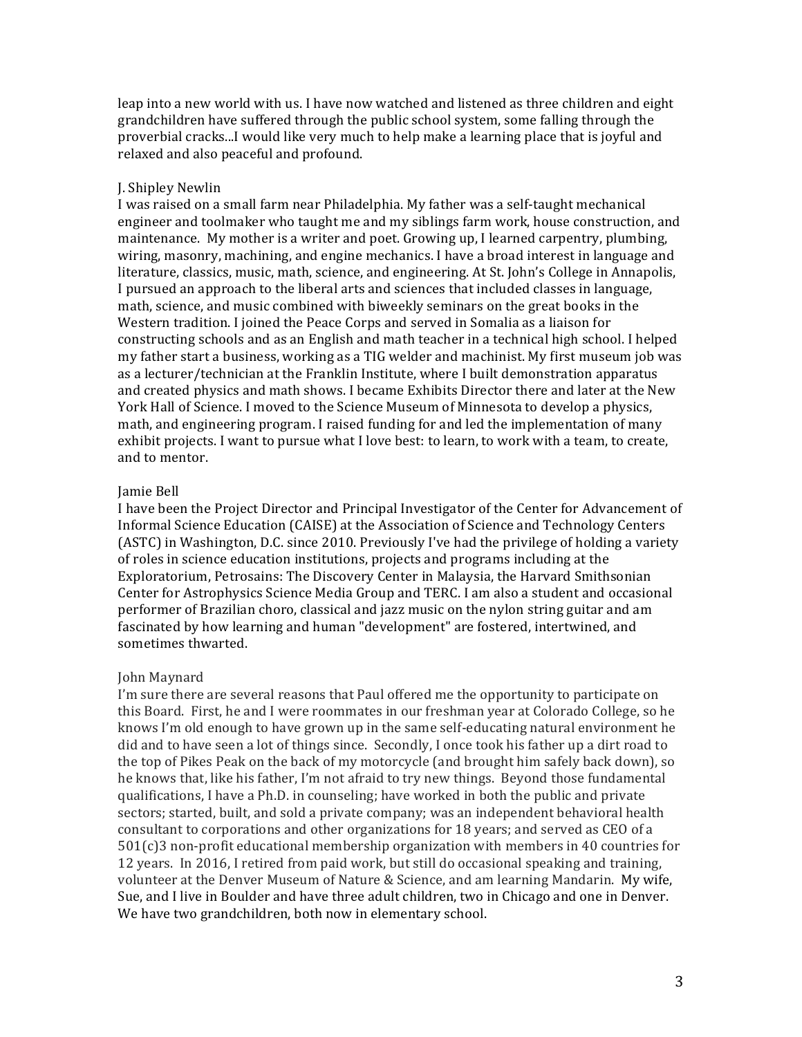leap into a new world with us. I have now watched and listened as three children and eight grandchildren have suffered through the public school system, some falling through the proverbial cracks...I would like very much to help make a learning place that is joyful and relaxed and also peaceful and profound.

## J. Shipley Newlin

I was raised on a small farm near Philadelphia. My father was a self-taught mechanical engineer and toolmaker who taught me and my siblings farm work, house construction, and maintenance. My mother is a writer and poet. Growing up, I learned carpentry, plumbing, wiring, masonry, machining, and engine mechanics. I have a broad interest in language and literature, classics, music, math, science, and engineering. At St. John's College in Annapolis, I pursued an approach to the liberal arts and sciences that included classes in language, math, science, and music combined with biweekly seminars on the great books in the Western tradition. I joined the Peace Corps and served in Somalia as a liaison for constructing schools and as an English and math teacher in a technical high school. I helped my father start a business, working as a TIG welder and machinist. My first museum job was as a lecturer/technician at the Franklin Institute, where I built demonstration apparatus and created physics and math shows. I became Exhibits Director there and later at the New York Hall of Science. I moved to the Science Museum of Minnesota to develop a physics, math, and engineering program. I raised funding for and led the implementation of many exhibit projects. I want to pursue what I love best: to learn, to work with a team, to create, and to mentor.

# Jamie Bell

I have been the Project Director and Principal Investigator of the Center for Advancement of Informal Science Education (CAISE) at the Association of Science and Technology Centers (ASTC) in Washington, D.C. since 2010. Previously I've had the privilege of holding a variety of roles in science education institutions, projects and programs including at the Exploratorium, Petrosains: The Discovery Center in Malaysia, the Harvard Smithsonian Center for Astrophysics Science Media Group and TERC. I am also a student and occasional performer of Brazilian choro, classical and jazz music on the nylon string guitar and am fascinated by how learning and human "development" are fostered, intertwined, and sometimes thwarted.

# John Maynard

I'm sure there are several reasons that Paul offered me the opportunity to participate on this Board. First, he and I were roommates in our freshman year at Colorado College, so he knows I'm old enough to have grown up in the same self-educating natural environment he did and to have seen a lot of things since. Secondly, I once took his father up a dirt road to the top of Pikes Peak on the back of my motorcycle (and brought him safely back down), so he knows that, like his father, I'm not afraid to try new things. Beyond those fundamental qualifications, I have a Ph.D. in counseling; have worked in both the public and private sectors; started, built, and sold a private company; was an independent behavioral health consultant to corporations and other organizations for 18 years; and served as CEO of a  $501(c)$ 3 non-profit educational membership organization with members in 40 countries for 12 years. In 2016, I retired from paid work, but still do occasional speaking and training, volunteer at the Denver Museum of Nature & Science, and am learning Mandarin. My wife, Sue, and I live in Boulder and have three adult children, two in Chicago and one in Denver. We have two grandchildren, both now in elementary school.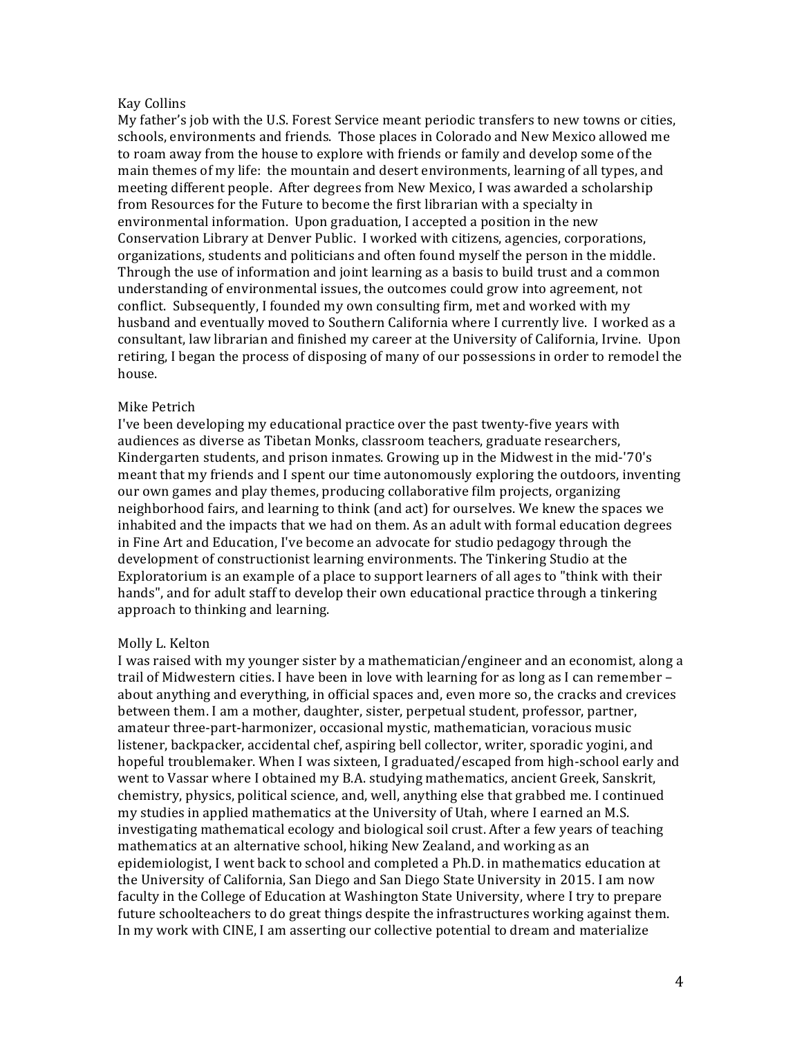#### Kay Collins

My father's job with the U.S. Forest Service meant periodic transfers to new towns or cities, schools, environments and friends. Those places in Colorado and New Mexico allowed me to roam away from the house to explore with friends or family and develop some of the main themes of my life: the mountain and desert environments, learning of all types, and meeting different people. After degrees from New Mexico, I was awarded a scholarship from Resources for the Future to become the first librarian with a specialty in environmental information. Upon graduation, I accepted a position in the new Conservation Library at Denver Public. I worked with citizens, agencies, corporations, organizations, students and politicians and often found myself the person in the middle. Through the use of information and joint learning as a basis to build trust and a common understanding of environmental issues, the outcomes could grow into agreement, not conflict. Subsequently, I founded my own consulting firm, met and worked with my husband and eventually moved to Southern California where I currently live. I worked as a consultant, law librarian and finished my career at the University of California, Irvine. Upon retiring, I began the process of disposing of many of our possessions in order to remodel the house. 

## Mike Petrich

I've been developing my educational practice over the past twenty-five years with audiences as diverse as Tibetan Monks, classroom teachers, graduate researchers, Kindergarten students, and prison inmates. Growing up in the Midwest in the mid-'70's meant that my friends and I spent our time autonomously exploring the outdoors, inventing our own games and play themes, producing collaborative film projects, organizing neighborhood fairs, and learning to think (and act) for ourselves. We knew the spaces we inhabited and the impacts that we had on them. As an adult with formal education degrees in Fine Art and Education, I've become an advocate for studio pedagogy through the development of constructionist learning environments. The Tinkering Studio at the Exploratorium is an example of a place to support learners of all ages to "think with their hands", and for adult staff to develop their own educational practice through a tinkering approach to thinking and learning.

#### Molly L. Kelton

I was raised with my younger sister by a mathematician/engineer and an economist, along a trail of Midwestern cities. I have been in love with learning for as long as I can remember  $$ about anything and everything, in official spaces and, even more so, the cracks and crevices between them. I am a mother, daughter, sister, perpetual student, professor, partner, amateur three-part-harmonizer, occasional mystic, mathematician, voracious music listener, backpacker, accidental chef, aspiring bell collector, writer, sporadic yogini, and hopeful troublemaker. When I was sixteen, I graduated/escaped from high-school early and went to Vassar where I obtained my B.A. studying mathematics, ancient Greek, Sanskrit, chemistry, physics, political science, and, well, anything else that grabbed me. I continued my studies in applied mathematics at the University of Utah, where I earned an M.S. investigating mathematical ecology and biological soil crust. After a few years of teaching mathematics at an alternative school, hiking New Zealand, and working as an epidemiologist, I went back to school and completed a Ph.D. in mathematics education at the University of California, San Diego and San Diego State University in 2015. I am now faculty in the College of Education at Washington State University, where I try to prepare future schoolteachers to do great things despite the infrastructures working against them. In my work with CINE, I am asserting our collective potential to dream and materialize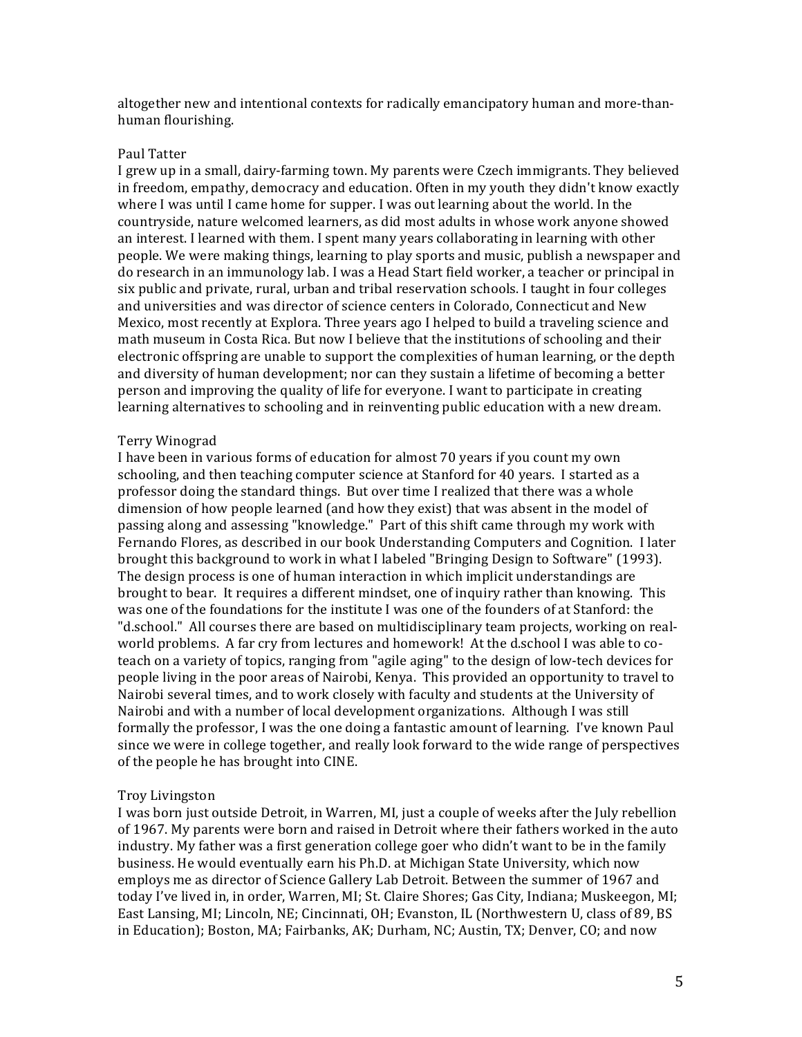altogether new and intentional contexts for radically emancipatory human and more-thanhuman flourishing.

#### Paul Tatter

I grew up in a small, dairy-farming town. My parents were Czech immigrants. They believed in freedom, empathy, democracy and education. Often in my youth they didn't know exactly where I was until I came home for supper. I was out learning about the world. In the countryside, nature welcomed learners, as did most adults in whose work anyone showed an interest. I learned with them. I spent many years collaborating in learning with other people. We were making things, learning to play sports and music, publish a newspaper and do research in an immunology lab. I was a Head Start field worker, a teacher or principal in six public and private, rural, urban and tribal reservation schools. I taught in four colleges and universities and was director of science centers in Colorado, Connecticut and New Mexico, most recently at Explora. Three years ago I helped to build a traveling science and math museum in Costa Rica. But now I believe that the institutions of schooling and their electronic offspring are unable to support the complexities of human learning, or the depth and diversity of human development; nor can they sustain a lifetime of becoming a better person and improving the quality of life for everyone. I want to participate in creating learning alternatives to schooling and in reinventing public education with a new dream.

#### Terry Winograd

I have been in various forms of education for almost 70 years if you count my own schooling, and then teaching computer science at Stanford for 40 years. I started as a professor doing the standard things. But over time I realized that there was a whole dimension of how people learned (and how they exist) that was absent in the model of passing along and assessing "knowledge." Part of this shift came through my work with Fernando Flores, as described in our book Understanding Computers and Cognition. I later brought this background to work in what I labeled "Bringing Design to Software" (1993). The design process is one of human interaction in which implicit understandings are brought to bear. It requires a different mindset, one of inquiry rather than knowing. This was one of the foundations for the institute I was one of the founders of at Stanford: the "d.school." All courses there are based on multidisciplinary team projects, working on realworld problems. A far cry from lectures and homework! At the d.school I was able to coteach on a variety of topics, ranging from "agile aging" to the design of low-tech devices for people living in the poor areas of Nairobi, Kenya. This provided an opportunity to travel to Nairobi several times, and to work closely with faculty and students at the University of Nairobi and with a number of local development organizations. Although I was still formally the professor, I was the one doing a fantastic amount of learning. I've known Paul since we were in college together, and really look forward to the wide range of perspectives of the people he has brought into CINE.

#### Troy Livingston

I was born just outside Detroit, in Warren, MI, just a couple of weeks after the July rebellion of 1967. My parents were born and raised in Detroit where their fathers worked in the auto industry. My father was a first generation college goer who didn't want to be in the family business. He would eventually earn his Ph.D. at Michigan State University, which now employs me as director of Science Gallery Lab Detroit. Between the summer of 1967 and today I've lived in, in order, Warren, MI; St. Claire Shores; Gas City, Indiana; Muskeegon, MI; East Lansing, MI; Lincoln, NE; Cincinnati, OH; Evanston, IL (Northwestern U, class of 89, BS in Education); Boston, MA; Fairbanks, AK; Durham, NC; Austin, TX; Denver, CO; and now